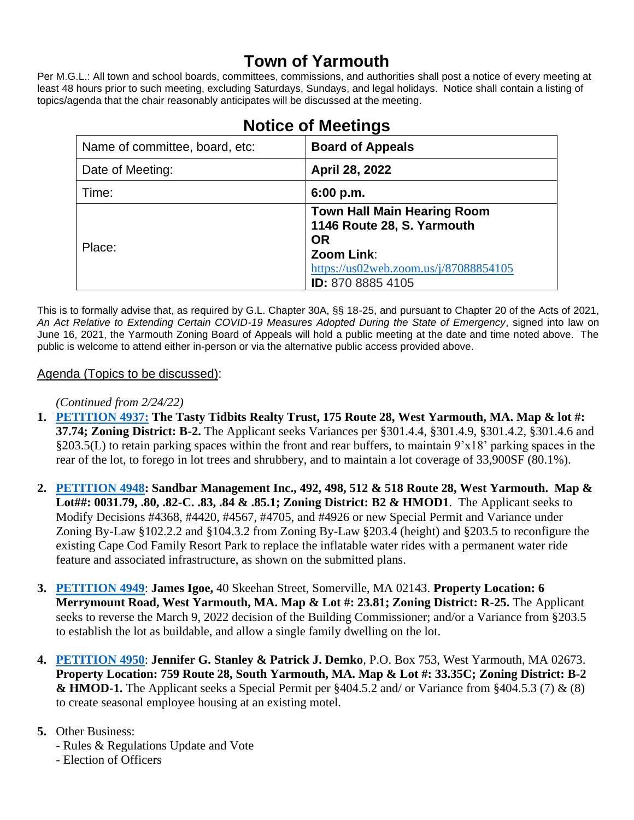# **Town of Yarmouth**

Per M.G.L.: All town and school boards, committees, commissions, and authorities shall post a notice of every meeting at least 48 hours prior to such meeting, excluding Saturdays, Sundays, and legal holidays. Notice shall contain a listing of topics/agenda that the chair reasonably anticipates will be discussed at the meeting.

| Name of committee, board, etc: | <b>Board of Appeals</b>                                                       |
|--------------------------------|-------------------------------------------------------------------------------|
| Date of Meeting:               | April 28, 2022                                                                |
| Time:                          | 6:00 p.m.                                                                     |
| Place:                         | <b>Town Hall Main Hearing Room</b><br>1146 Route 28, S. Yarmouth<br><b>OR</b> |
|                                | Zoom Link:<br>https://us02web.zoom.us/j/87088854105<br>ID: 870 8885 4105      |

# **Notice of Meetings**

This is to formally advise that, as required by G.L. Chapter 30A, §§ 18-25, and pursuant to Chapter 20 of the Acts of 2021, *An Act Relative to Extending Certain COVID-19 Measures Adopted During the State of Emergency*, signed into law on June 16, 2021, the Yarmouth Zoning Board of Appeals will hold a public meeting at the date and time noted above. The public is welcome to attend either in-person or via the alternative public access provided above.

## Agenda (Topics to be discussed):

### *(Continued from 2/24/22)*

- **1. [PETITION 4937:](https://lf.yarmouth.ma.us/WebLink/Browse.aspx?id=642440&dbid=0&repo=LASERFICHE) The Tasty Tidbits Realty Trust, 175 Route 28, West Yarmouth, MA. Map & lot #: 37.74; Zoning District: B-2.** The Applicant seeks Variances per §301.4.4, §301.4.9, §301.4.2, §301.4.6 and §203.5(L) to retain parking spaces within the front and rear buffers, to maintain 9'x18' parking spaces in the rear of the lot, to forego in lot trees and shrubbery, and to maintain a lot coverage of 33,900SF (80.1%).
- **2. [PETITION 4948:](https://lf.yarmouth.ma.us/WebLink/Browse.aspx?id=644665&dbid=0&repo=LASERFICHE) Sandbar Management Inc., 492, 498, 512 & 518 Route 28, West Yarmouth. Map & Lot##: 0031.79, .80, .82-C. .83, .84 & .85.1; Zoning District: B2 & HMOD1**. The Applicant seeks to Modify Decisions #4368, #4420, #4567, #4705, and #4926 or new Special Permit and Variance under Zoning By-Law §102.2.2 and §104.3.2 from Zoning By-Law §203.4 (height) and §203.5 to reconfigure the existing Cape Cod Family Resort Park to replace the inflatable water rides with a permanent water ride feature and associated infrastructure, as shown on the submitted plans.
- **3. [PETITION 4949](https://lf.yarmouth.ma.us/WebLink/Browse.aspx?id=706824&dbid=0&repo=LASERFICHE)**: **James Igoe,** 40 Skeehan Street, Somerville, MA 02143. **Property Location: 6 Merrymount Road, West Yarmouth, MA. Map & Lot #: 23.81; Zoning District: R-25.** The Applicant seeks to reverse the March 9, 2022 decision of the Building Commissioner; and/or a Variance from §203.5 to establish the lot as buildable, and allow a single family dwelling on the lot.
- **4. [PETITION 4950](https://lf.yarmouth.ma.us/WebLink/Browse.aspx?id=1096199&dbid=0&repo=LASERFICHE)**: **Jennifer G. Stanley & Patrick J. Demko**, P.O. Box 753, West Yarmouth, MA 02673. **Property Location: 759 Route 28, South Yarmouth, MA. Map & Lot #: 33.35C; Zoning District: B-2 & HMOD-1.** The Applicant seeks a Special Permit per §404.5.2 and/ or Variance from §404.5.3 (7) & (8) to create seasonal employee housing at an existing motel.

### **5.** Other Business:

- Rules & Regulations Update and Vote
- Election of Officers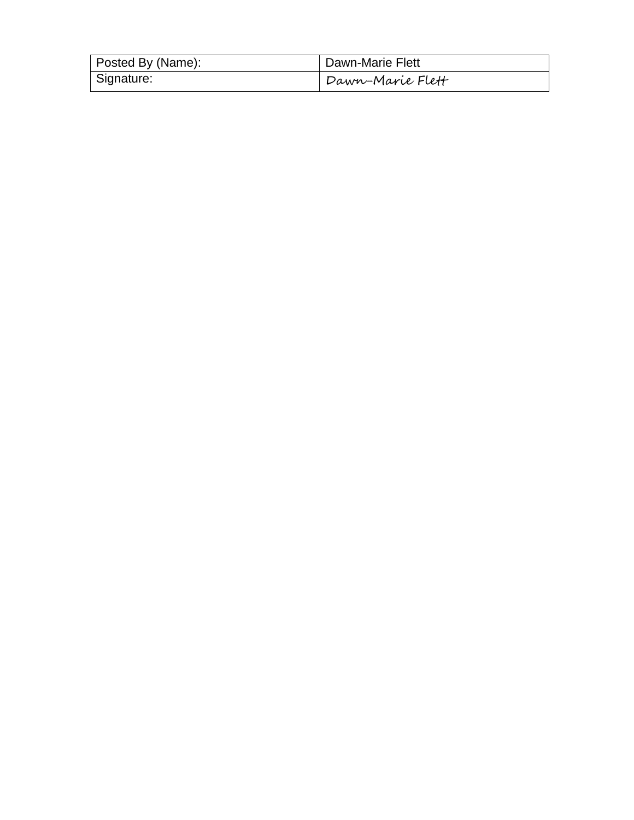| Posted By (Name): | Dawn-Marie Flett |
|-------------------|------------------|
| Signature:        | Dawn-Marie Flett |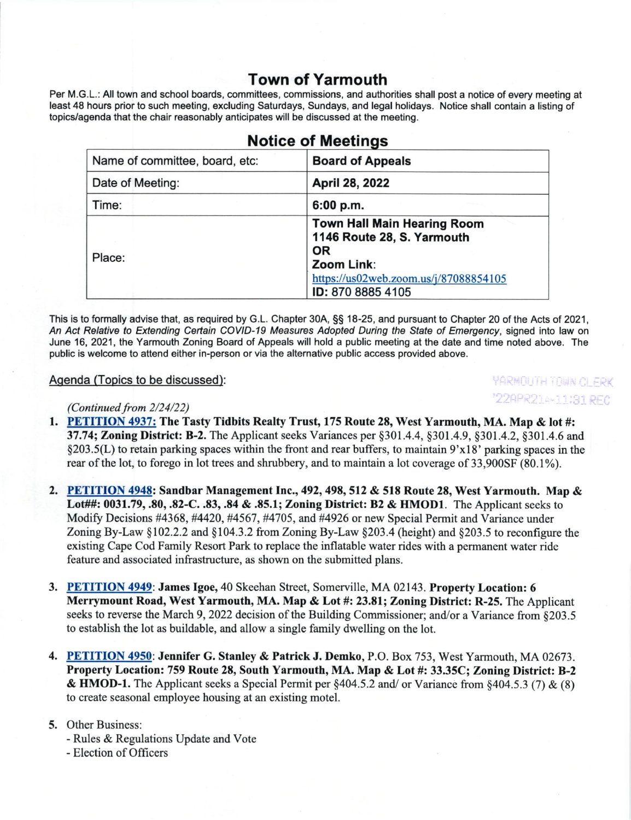# Town of Yarmouth

Per M.G.L.: All town and school boards, committees, commissions, and authorities shall post a notice of every meeting at least 48 hours prior to such meeting, excluding Saturdays, Sundays, and legal holidays. Notice shall contain a listing of topics/agenda that the chair reasonably anticipates will be discussed at the meeting.

| <b>NOTICE OF MEETINGS</b>      |                                                                                                                                                           |  |
|--------------------------------|-----------------------------------------------------------------------------------------------------------------------------------------------------------|--|
| Name of committee, board, etc: | <b>Board of Appeals</b>                                                                                                                                   |  |
| Date of Meeting:               | April 28, 2022                                                                                                                                            |  |
| Time:                          | 6:00 p.m.                                                                                                                                                 |  |
| Place:                         | <b>Town Hall Main Hearing Room</b><br>1146 Route 28, S. Yarmouth<br><b>OR</b><br>Zoom Link:<br>https://us02web.zoom.us/j/87088854105<br>ID: 870 8885 4105 |  |

No. 1994, and 1994, and 1994

This is to formally advise that, as required by G.L. Chapter 30A, §§ 18-25, and pursuant to Chapter 20 of the Acts of 2021, An Act Relative to Extending Certain COVID-19 Measures Adopted During the State of Emergency, signed into law on June 16,2021, the Yarmouth Zoning Board of Appeals will hold a public meeting at the date and time noted above. The public is welcome to attend either in-person or via the alternative public access provided above.

#### Agenda (Topics to be discussed):

*YARMOUTH TOWN OLERK* "22APR214\*11:31 REC

#### (Continued from  $2/24/22$ )

- 1. PETITION 4937: The Tasty Tidbits Realty Trust, 175 Route 28, West Yarmouth, MA. Map & lot #: 37.74; Zoning District: B-2. The Applicant seeks Variances per §301.4.4, §301.4.9, §301.4.2, §301.4.6 and \$203.5(L) to retain parking spaces within the front and rear buffers, to maintain 9'x18' parking spaces in the rear of the lot, to forego in lot trees and shrubbery, and to maintain a lot coverage of 33,900SF (80.1%).
- 2. PETITION 4948: Sandbar Management Inc., 492, 498, 512 & 518 Route 28, West Yarmouth. Map & Lot##: 0031.79, .80, .82-C. .83, .84 & .85.1; Zoning District: B2 & HMOD1. The Applicant seeks to Modify Decisions #4368, #4420, #4567, #4705, and #4926 or new Special Permit and Variance under Zoning By-Law  $\S 102.2.2$  and  $\S 104.3.2$  from Zoning By-Law  $\S 203.4$  (height) and  $\S 203.5$  to reconfigure the existing Cape Cod Family Resort Park to replace the inflatable water rides with a permanent water ridc feature and associated infrastructure, as shown on the submitted plans.
- 3. PETITION 4949: James Igoe,40 Skeehan Street, Somerville, MA 02143. Property Location: <sup>6</sup> Merrymount Road, West Yarmouth, MA. Map & Lot #: 23,81; Zoning District: R-25. The Applicant seeks to reverse the March 9, 2022 decision of the Building Commissioner; and/or a Variance from §203.5 to establish the lot as buildable, and allow a single family dwelling on the lot.
- 4. PETITION 4950: Jennifer G. Stanley & Patrick J. Demko, P.O. Box 753, West Yarmouth, MA 02673. Property Location: 759 Route 28, South Yarmouth, MA. Map & Lot #: 33.35C; Zoning District: B-2 & HMOD-1. The Applicant seeks a Special Permit per  $§404.5.2$  and/ or Variance from  $§404.5.3$  (7) & (8) to create seasonal employee housing at an existing motel.

#### 5. Other Business:

- Rules & Regulations Update and Vote
- Election of Officers